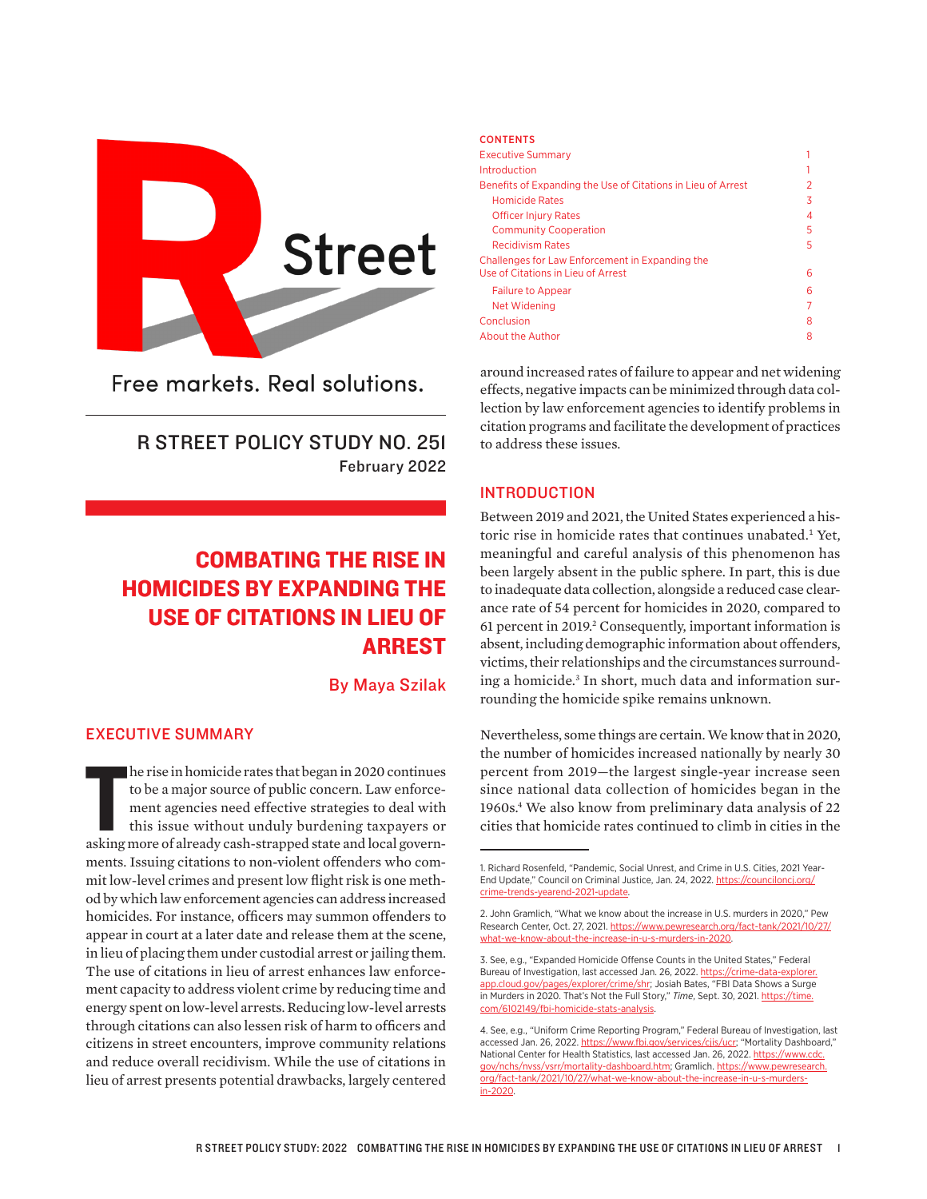

Free markets. Real solutions.

# R STREET POLICY STUDY NO. 251 February 2022

# COMBATING THE RISE IN HOMICIDES BY EXPANDING THE USE OF CITATIONS IN LIEU OF ARREST

By Maya Szilak

## EXECUTIVE SUMMARY

he rise in homicide rates that began in 2020 continues<br>to be a major source of public concern. Law enforce-<br>ment agencies need effective strategies to deal with<br>this issue without unduly burdening taxpayers or<br>asking more he rise in homicide rates that began in 2020 continues to be a major source of public concern. Law enforcement agencies need effective strategies to deal with this issue without unduly burdening taxpayers or ments. Issuing citations to non-violent offenders who commit low-level crimes and present low flight risk is one method by which law enforcement agencies can address increased homicides. For instance, officers may summon offenders to appear in court at a later date and release them at the scene, in lieu of placing them under custodial arrest or jailing them. The use of citations in lieu of arrest enhances law enforcement capacity to address violent crime by reducing time and energy spent on low-level arrests. Reducing low-level arrests through citations can also lessen risk of harm to officers and citizens in street encounters, improve community relations and reduce overall recidivism. While the use of citations in lieu of arrest presents potential drawbacks, largely centered

#### **CONTENTS**

| <b>Executive Summary</b>                                     |    |
|--------------------------------------------------------------|----|
| Introduction                                                 |    |
| Benefits of Expanding the Use of Citations in Lieu of Arrest | 2  |
| <b>Homicide Rates</b>                                        | 3  |
| <b>Officer Injury Rates</b>                                  | 4  |
| <b>Community Cooperation</b>                                 | 5  |
| <b>Recidivism Rates</b>                                      | 5. |
| Challenges for Law Enforcement in Expanding the              |    |
| Use of Citations in Lieu of Arrest                           | 6  |
| <b>Failure to Appear</b>                                     | 6  |
| Net Widening                                                 | 7  |
| Conclusion                                                   | 8  |
| About the Author                                             | 8  |
|                                                              |    |

around increased rates of failure to appear and net widening effects, negative impacts can be minimized through data collection by law enforcement agencies to identify problems in citation programs and facilitate the development of practices to address these issues.

#### INTRODUCTION

Between 2019 and 2021, the United States experienced a historic rise in homicide rates that continues unabated.<sup>1</sup> Yet, meaningful and careful analysis of this phenomenon has been largely absent in the public sphere. In part, this is due to inadequate data collection, alongside a reduced case clearance rate of 54 percent for homicides in 2020, compared to 61 percent in 2019.<sup>2</sup> Consequently, important information is absent, including demographic information about offenders, victims, their relationships and the circumstances surrounding a homicide.3 In short, much data and information surrounding the homicide spike remains unknown.

Nevertheless, some things are certain. We know that in 2020, the number of homicides increased nationally by nearly 30 percent from 2019—the largest single-year increase seen since national data collection of homicides began in the 1960s.4 We also know from preliminary data analysis of 22 cities that homicide rates continued to climb in cities in the

<sup>1.</sup> Richard Rosenfeld, "Pandemic, Social Unrest, and Crime in U.S. Cities, 2021 Year-End Update," Council on Criminal Justice, Jan. 24, 2022. [https://counciloncj.org/](https://counciloncj.org/crime-trends-yearend-2021-update.) [crime-trends-yearend-2021-update.](https://counciloncj.org/crime-trends-yearend-2021-update.)

<sup>2.</sup> John Gramlich, "What we know about the increase in U.S. murders in 2020," Pew Research Center, Oct. 27, 2021. [https://www.pewresearch.org/fact-tank/2021/10/27/](https://www.pewresearch.org/fact-tank/2021/10/27/what-we-know-about-the-increase-in-u-s-murders-in-2020) [what-we-know-about-the-increase-in-u-s-murders-in-2020.](https://www.pewresearch.org/fact-tank/2021/10/27/what-we-know-about-the-increase-in-u-s-murders-in-2020)

<sup>3.</sup> See, e.g., "Expanded Homicide Offense Counts in the United States," Federal Bureau of Investigation, last accessed Jan. 26, 2022. [https://crime-data-explorer.](https://crime-data-explorer.app.cloud.gov/pages/explorer/crime/shr) [app.cloud.gov/pages/explorer/crime/shr](https://crime-data-explorer.app.cloud.gov/pages/explorer/crime/shr); Josiah Bates, "FBI Data Shows a Surge in Murders in 2020. That's Not the Full Story," Time, Sept. 30, 2021. [https://time.](https://time.com/6102149/fbi-homicide-stats-analysis) [com/6102149/fbi-homicide-stats-analysis](https://time.com/6102149/fbi-homicide-stats-analysis).

<sup>4.</sup> See, e.g., "Uniform Crime Reporting Program," Federal Bureau of Investigation, last accessed Jan. 26, 2022.<https://www.fbi.gov/services/cjis/ucr>; "Mortality Dashboard," National Center for Health Statistics, last accessed Jan. 26, 2022. [https://www.cdc.](https://www.cdc.gov/nchs/nvss/vsrr/mortality-dashboard.htm) [gov/nchs/nvss/vsrr/mortality-dashboard.htm;](https://www.cdc.gov/nchs/nvss/vsrr/mortality-dashboard.htm) Gramlich. [https://www.pewresearch.](https://www.pewresearch.org/fact-tank/2021/10/27/what-we-know-about-the-increase-in-u-s-murders-in-2020) [org/fact-tank/2021/10/27/what-we-know-about-the-increase-in-u-s-murders](https://www.pewresearch.org/fact-tank/2021/10/27/what-we-know-about-the-increase-in-u-s-murders-in-2020)[in-2020](https://www.pewresearch.org/fact-tank/2021/10/27/what-we-know-about-the-increase-in-u-s-murders-in-2020).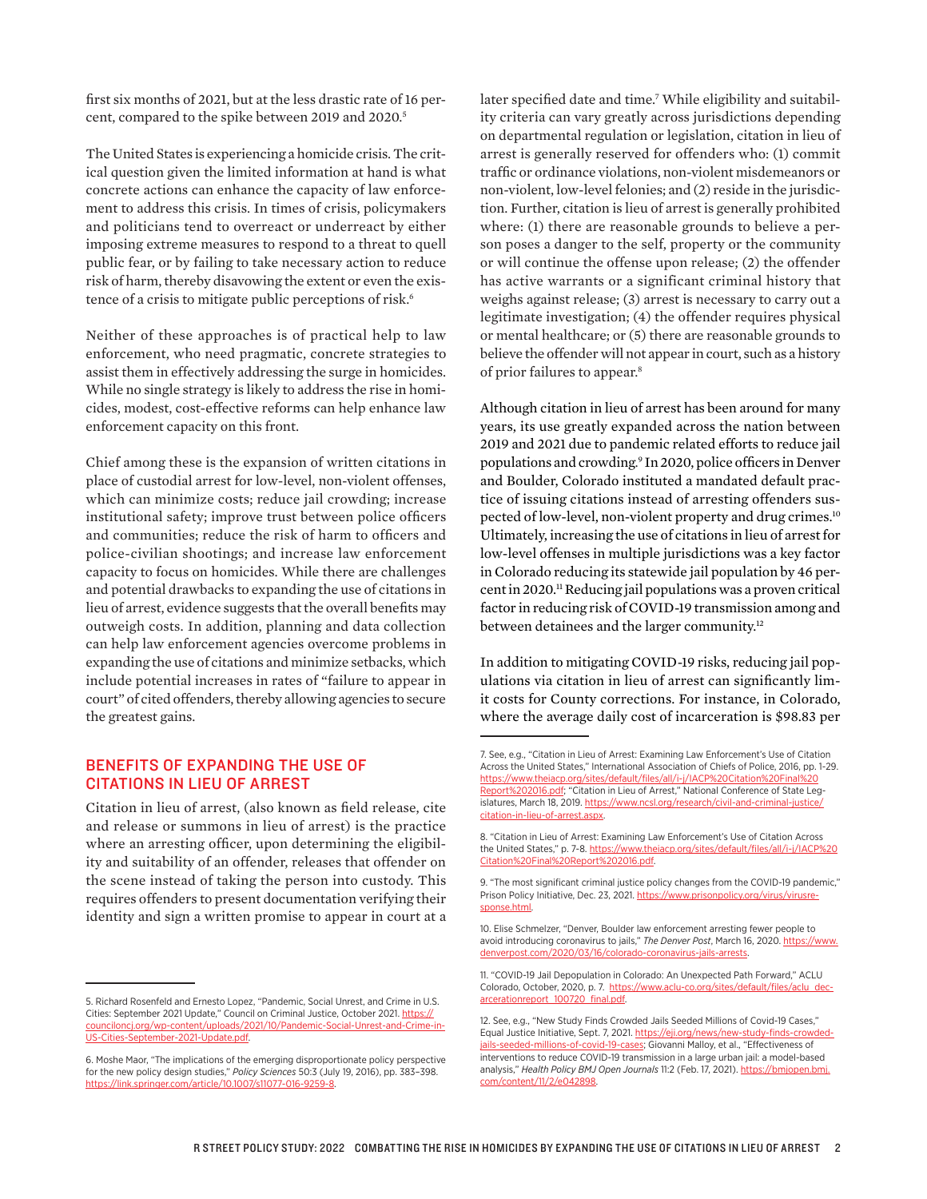first six months of 2021, but at the less drastic rate of 16 percent, compared to the spike between 2019 and 2020.5

The United States is experiencing a homicide crisis. The critical question given the limited information at hand is what concrete actions can enhance the capacity of law enforcement to address this crisis. In times of crisis, policymakers and politicians tend to overreact or underreact by either imposing extreme measures to respond to a threat to quell public fear, or by failing to take necessary action to reduce risk of harm, thereby disavowing the extent or even the existence of a crisis to mitigate public perceptions of risk.<sup>6</sup>

Neither of these approaches is of practical help to law enforcement, who need pragmatic, concrete strategies to assist them in effectively addressing the surge in homicides. While no single strategy is likely to address the rise in homicides, modest, cost-effective reforms can help enhance law enforcement capacity on this front.

Chief among these is the expansion of written citations in place of custodial arrest for low-level, non-violent offenses, which can minimize costs; reduce jail crowding; increase institutional safety; improve trust between police officers and communities; reduce the risk of harm to officers and police-civilian shootings; and increase law enforcement capacity to focus on homicides. While there are challenges and potential drawbacks to expanding the use of citations in lieu of arrest, evidence suggests that the overall benefits may outweigh costs. In addition, planning and data collection can help law enforcement agencies overcome problems in expanding the use of citations and minimize setbacks, which include potential increases in rates of "failure to appear in court" of cited offenders, thereby allowing agencies to secure the greatest gains.

# BENEFITS OF EXPANDING THE USE OF CITATIONS IN LIEU OF ARREST

Citation in lieu of arrest, (also known as field release, cite and release or summons in lieu of arrest) is the practice where an arresting officer, upon determining the eligibility and suitability of an offender, releases that offender on the scene instead of taking the person into custody. This requires offenders to present documentation verifying their identity and sign a written promise to appear in court at a

later specified date and time.7 While eligibility and suitability criteria can vary greatly across jurisdictions depending on departmental regulation or legislation, citation in lieu of arrest is generally reserved for offenders who: (1) commit traffic or ordinance violations, non-violent misdemeanors or non-violent, low-level felonies; and (2) reside in the jurisdiction. Further, citation is lieu of arrest is generally prohibited where: (1) there are reasonable grounds to believe a person poses a danger to the self, property or the community or will continue the offense upon release; (2) the offender has active warrants or a significant criminal history that weighs against release; (3) arrest is necessary to carry out a legitimate investigation; (4) the offender requires physical or mental healthcare; or (5) there are reasonable grounds to believe the offender will not appear in court, such as a history of prior failures to appear.8

Although citation in lieu of arrest has been around for many years, its use greatly expanded across the nation between 2019 and 2021 due to pandemic related efforts to reduce jail populations and crowding. 9 In 2020, police officers in Denver and Boulder, Colorado instituted a mandated default practice of issuing citations instead of arresting offenders suspected of low-level, non-violent property and drug crimes.<sup>10</sup> Ultimately, increasing the use of citations in lieu of arrest for low-level offenses in multiple jurisdictions was a key factor in Colorado reducing its statewide jail population by 46 percent in 2020.<sup>11</sup> Reducing jail populations was a proven critical factor in reducing risk of COVID-19 transmission among and between detainees and the larger community.<sup>12</sup>

In addition to mitigating COVID-19 risks, reducing jail populations via citation in lieu of arrest can significantly limit costs for County corrections. For instance, in Colorado, where the average daily cost of incarceration is \$98.83 per

<sup>5.</sup> Richard Rosenfeld and Ernesto Lopez, "Pandemic, Social Unrest, and Crime in U.S. Cities: September 2021 Update," Council on Criminal Justice, October 2021. [https://](https://counciloncj.org/wp-content/uploads/2021/10/Pandemic-Social-Unrest-and-Crime-in-US-Cities-September-2021-Update.pdf) [counciloncj.org/wp-content/uploads/2021/10/Pandemic-Social-Unrest-and-Crime-in-](https://counciloncj.org/wp-content/uploads/2021/10/Pandemic-Social-Unrest-and-Crime-in-US-Cities-September-2021-Update.pdf)[US-Cities-September-2021-Update.pdf](https://counciloncj.org/wp-content/uploads/2021/10/Pandemic-Social-Unrest-and-Crime-in-US-Cities-September-2021-Update.pdf).

<sup>6.</sup> Moshe Maor, "The implications of the emerging disproportionate policy perspective for the new policy design studies," *Policy Sciences* 50:3 (July 19, 2016), pp. 383–398. [https://link.springer.com/article/10.1007/s11077-016-9259-8.](https://link.springer.com/article/10.1007/s11077-016-9259-8)

<sup>7.</sup> See, e.g., "Citation in Lieu of Arrest: Examining Law Enforcement's Use of Citation Across the United States," International Association of Chiefs of Police, 2016, pp. 1-29. [https://www.theiacp.org/sites/default/files/all/i-j/IACP%20Citation%20Final%20](https://www.theiacp.org/sites/default/files/all/i-j/IACP%20Citation%20Final%20Report%202016.pdf) [Report%202016.pdf](https://www.theiacp.org/sites/default/files/all/i-j/IACP%20Citation%20Final%20Report%202016.pdf); "Citation in Lieu of Arrest," National Conference of State Legislatures, March 18, 2019. [https://www.ncsl.org/research/civil-and-criminal-justice/](https://www.ncsl.org/research/civil-and-criminal-justice/citation-in-lieu-of-arrest.aspx) [citation-in-lieu-of-arrest.aspx.](https://www.ncsl.org/research/civil-and-criminal-justice/citation-in-lieu-of-arrest.aspx)

<sup>8. &</sup>quot;Citation in Lieu of Arrest: Examining Law Enforcement's Use of Citation Across the United States," p. 7-8. [https://www.theiacp.org/sites/default/files/all/i-j/IACP%20](https://www.theiacp.org/sites/default/files/all/i-j/IACP%20Citation%20Final%20Report%202016.pdf) [Citation%20Final%20Report%202016.pdf.](https://www.theiacp.org/sites/default/files/all/i-j/IACP%20Citation%20Final%20Report%202016.pdf)

<sup>9. &</sup>quot;The most significant criminal justice policy changes from the COVID-19 pandemic," Prison Policy Initiative, Dec. 23, 2021. [https://www.prisonpolicy.org/virus/virusre](https://www.prisonpolicy.org/virus/virusresponse.html)[sponse.html.](https://www.prisonpolicy.org/virus/virusresponse.html)

<sup>10.</sup> Elise Schmelzer, "Denver, Boulder law enforcement arresting fewer people to avoid introducing coronavirus to jails," The Denver Post, March 16, 2020. [https://www.](https://www.denverpost.com/2020/03/16/colorado-coronavirus-jails-arrests) [denverpost.com/2020/03/16/colorado-coronavirus-jails-arrests.](https://www.denverpost.com/2020/03/16/colorado-coronavirus-jails-arrests)

<sup>11. &</sup>quot;COVID-19 Jail Depopulation in Colorado: An Unexpected Path Forward," ACLU Colorado, October, 2020, p. 7. [https://www.aclu-co.org/sites/default/files/aclu\\_dec](https://www.aclu-co.org/sites/default/files/aclu_decarcerationreport_100720_final.pdf)arcerationreport\_100720\_final.pdf

<sup>12.</sup> See, e.g., "New Study Finds Crowded Jails Seeded Millions of Covid-19 Cases," Equal Justice Initiative, Sept. 7, 2021. [https://eji.org/news/new-study-finds-crowded](https://eji.org/news/new-study-finds-crowded-jails-seeded-millions-of-covid-19-cases)[jails-seeded-millions-of-covid-19-cases](https://eji.org/news/new-study-finds-crowded-jails-seeded-millions-of-covid-19-cases); Giovanni Malloy, et al., "Effectiveness of interventions to reduce COVID-19 transmission in a large urban jail: a model-based analysis," *Health Policy BMJ Open Journals* 11:2 (Feb. 17, 2021). [https://bmjopen.bmj.](https://bmjopen.bmj.com/content/11/2/e042898) [com/content/11/2/e042898.](https://bmjopen.bmj.com/content/11/2/e042898)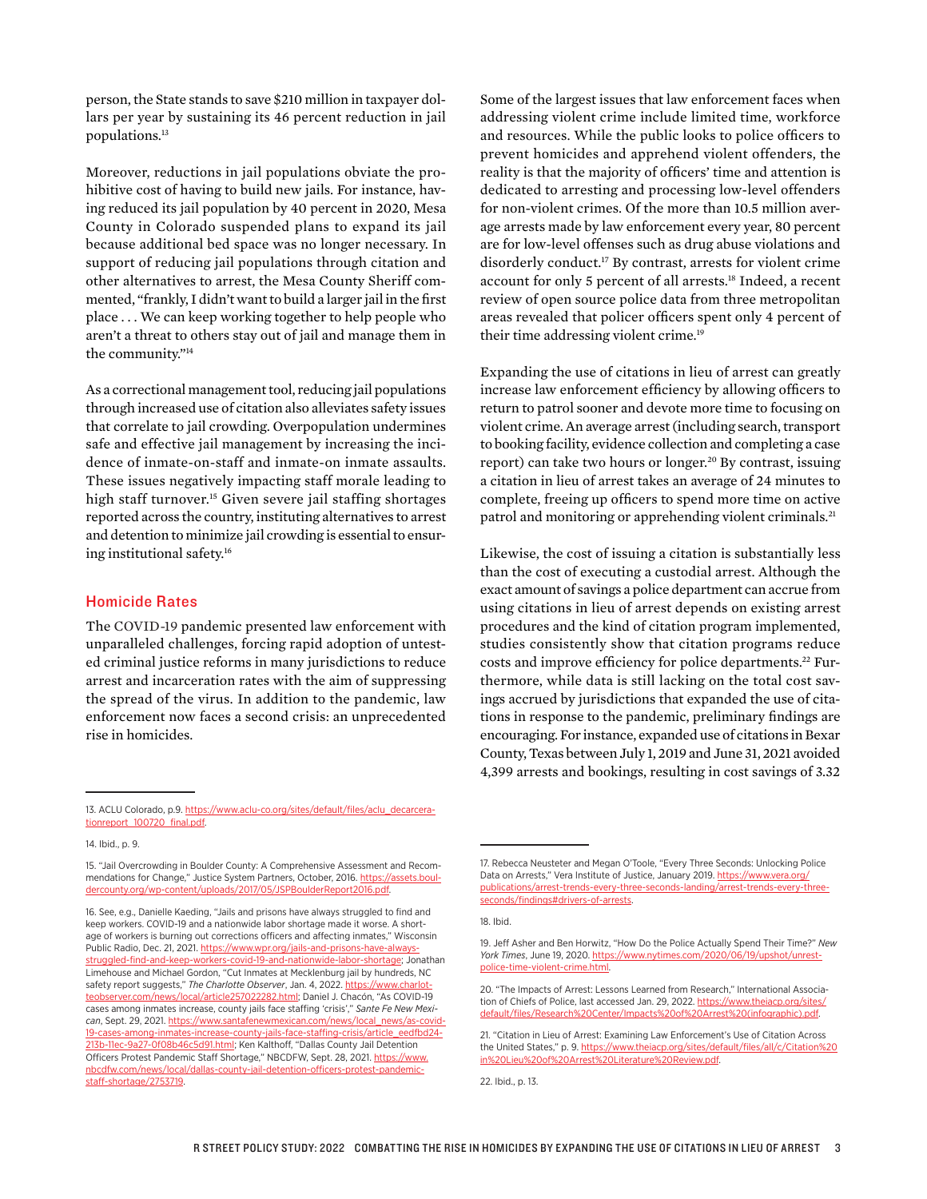person, the State stands to save \$210 million in taxpayer dollars per year by sustaining its 46 percent reduction in jail populations.13

Moreover, reductions in jail populations obviate the prohibitive cost of having to build new jails. For instance, having reduced its jail population by 40 percent in 2020, Mesa County in Colorado suspended plans to expand its jail because additional bed space was no longer necessary. In support of reducing jail populations through citation and other alternatives to arrest, the Mesa County Sheriff commented, "frankly, I didn't want to build a larger jail in the first place . . . We can keep working together to help people who aren't a threat to others stay out of jail and manage them in the community."14

As a correctional management tool, reducing jail populations through increased use of citation also alleviates safety issues that correlate to jail crowding. Overpopulation undermines safe and effective jail management by increasing the incidence of inmate-on-staff and inmate-on inmate assaults. These issues negatively impacting staff morale leading to high staff turnover.<sup>15</sup> Given severe jail staffing shortages reported across the country, instituting alternatives to arrest and detention to minimize jail crowding is essential to ensuring institutional safety.16

#### Homicide Rates

The COVID-19 pandemic presented law enforcement with unparalleled challenges, forcing rapid adoption of untested criminal justice reforms in many jurisdictions to reduce arrest and incarceration rates with the aim of suppressing the spread of the virus. In addition to the pandemic, law enforcement now faces a second crisis: an unprecedented rise in homicides.

Some of the largest issues that law enforcement faces when addressing violent crime include limited time, workforce and resources. While the public looks to police officers to prevent homicides and apprehend violent offenders, the reality is that the majority of officers' time and attention is dedicated to arresting and processing low-level offenders for non-violent crimes. Of the more than 10.5 million average arrests made by law enforcement every year, 80 percent are for low-level offenses such as drug abuse violations and disorderly conduct.17 By contrast, arrests for violent crime account for only 5 percent of all arrests.18 Indeed, a recent review of open source police data from three metropolitan areas revealed that policer officers spent only 4 percent of their time addressing violent crime.<sup>19</sup>

Expanding the use of citations in lieu of arrest can greatly increase law enforcement efficiency by allowing officers to return to patrol sooner and devote more time to focusing on violent crime. An average arrest (including search, transport to booking facility, evidence collection and completing a case report) can take two hours or longer.<sup>20</sup> By contrast, issuing a citation in lieu of arrest takes an average of 24 minutes to complete, freeing up officers to spend more time on active patrol and monitoring or apprehending violent criminals.<sup>21</sup>

Likewise, the cost of issuing a citation is substantially less than the cost of executing a custodial arrest. Although the exact amount of savings a police department can accrue from using citations in lieu of arrest depends on existing arrest procedures and the kind of citation program implemented, studies consistently show that citation programs reduce costs and improve efficiency for police departments.<sup>22</sup> Furthermore, while data is still lacking on the total cost savings accrued by jurisdictions that expanded the use of citations in response to the pandemic, preliminary findings are encouraging. For instance, expanded use of citations in Bexar County, Texas between July 1, 2019 and June 31, 2021 avoided 4,399 arrests and bookings, resulting in cost savings of 3.32

14. Ibid., p. 9.

<sup>13.</sup> ACLU Colorado, p.9. [https://www.aclu-co.org/sites/default/files/aclu\\_decarcera](https://www.aclu-co.org/sites/default/files/aclu_decarcerationreport_100720_final.pdf)[tionreport\\_100720\\_final.pdf](https://www.aclu-co.org/sites/default/files/aclu_decarcerationreport_100720_final.pdf).

<sup>15. &</sup>quot;Jail Overcrowding in Boulder County: A Comprehensive Assessment and Recommendations for Change," Justice System Partners, October, 2016. [https://assets.boul](https://assets.bouldercounty.org/wp-content/uploads/2017/05/JSPBoulderReport2016.pdf)[dercounty.org/wp-content/uploads/2017/05/JSPBoulderReport2016.pdf.](https://assets.bouldercounty.org/wp-content/uploads/2017/05/JSPBoulderReport2016.pdf)

<sup>16.</sup> See, e.g., Danielle Kaeding, "Jails and prisons have always struggled to find and keep workers. COVID-19 and a nationwide labor shortage made it worse. A shortage of workers is burning out corrections officers and affecting inmates," Wisconsin Public Radio, Dec. 21, 2021. [https://www.wpr.org/jails-and-prisons-have-always](https://www.wpr.org/jails-and-prisons-have-always-struggled-find-and-keep-workers-covid-19-and-nationwide-labor-shortage)[struggled-find-and-keep-workers-covid-19-and-nationwide-labor-shortage](https://www.wpr.org/jails-and-prisons-have-always-struggled-find-and-keep-workers-covid-19-and-nationwide-labor-shortage); Jonathan Limehouse and Michael Gordon, "Cut Inmates at Mecklenburg jail by hundreds, NC safety report suggests," *The Charlotte Observer*, Jan. 4, 2022. [https://www.charlot](https://www.charlotteobserver.com/news/local/article257022282.html)[teobserver.com/news/local/article257022282.html;](https://www.charlotteobserver.com/news/local/article257022282.html) Daniel J. Chacón, "As COVID-19 cases among inmates increase, county jails face staffing 'crisis'," *Sante Fe New Mexican*, Sept. 29, 2021. [https://www.santafenewmexican.com/news/local\\_news/as-covid-](https://www.santafenewmexican.com/news/local_news/as-covid-19-cases-among-inmates-increase-county-jails-face-staffing-crisis/article_eedfbd24-213b-11ec-9a27-0f08b46c5d91.html)[19-cases-among-inmates-increase-county-jails-face-staffing-crisis/article\\_eedfbd24-](https://www.santafenewmexican.com/news/local_news/as-covid-19-cases-among-inmates-increase-county-jails-face-staffing-crisis/article_eedfbd24-213b-11ec-9a27-0f08b46c5d91.html) [213b-11ec-9a27-0f08b46c5d91.html;](https://www.santafenewmexican.com/news/local_news/as-covid-19-cases-among-inmates-increase-county-jails-face-staffing-crisis/article_eedfbd24-213b-11ec-9a27-0f08b46c5d91.html) Ken Kalthoff, "Dallas County Jail Detention Officers Protest Pandemic Staff Shortage," NBCDFW, Sept. 28, 2021. [https://www.](https://www.nbcdfw.com/news/local/dallas-county-jail-detention-officers-protest-pandemic-staff-shortage/2753719) [nbcdfw.com/news/local/dallas-county-jail-detention-officers-protest-pandemic](https://www.nbcdfw.com/news/local/dallas-county-jail-detention-officers-protest-pandemic-staff-shortage/2753719)[staff-shortage/2753719](https://www.nbcdfw.com/news/local/dallas-county-jail-detention-officers-protest-pandemic-staff-shortage/2753719).

<sup>17.</sup> Rebecca Neusteter and Megan O'Toole, "Every Three Seconds: Unlocking Police Data on Arrests," Vera Institute of Justice, January 2019. https://www.vera.org/ publications/arrest-trends-every-three-seconds-landing/arrest-trends-every-threeseconds/findings#drivers-of-arrests.

<sup>18.</sup> Ibid.

<sup>19.</sup> Jeff Asher and Ben Horwitz, "How Do the Police Actually Spend Their Time?" *New York Times*, June 19, 2020. [https://www.nytimes.com/2020/06/19/upshot/unrest](https://www.nytimes.com/2020/06/19/upshot/unrest-police-time-violent-crime.html)[police-time-violent-crime.html](https://www.nytimes.com/2020/06/19/upshot/unrest-police-time-violent-crime.html).

<sup>20. &</sup>quot;The Impacts of Arrest: Lessons Learned from Research," International Association of Chiefs of Police, last accessed Jan. 29, 2022. [https://www.theiacp.org/sites/](https://www.theiacp.org/sites/default/files/Research%20Center/Impacts%20of%20Arrest%20(infographic).pdf) [default/files/Research%20Center/Impacts%20of%20Arrest%20\(infographic\).pdf.](https://www.theiacp.org/sites/default/files/Research%20Center/Impacts%20of%20Arrest%20(infographic).pdf)

<sup>21. &</sup>quot;Citation in Lieu of Arrest: Examining Law Enforcement's Use of Citation Across the United States," p. 9. [https://www.theiacp.org/sites/default/files/all/c/Citation%20](https://www.theiacp.org/sites/default/files/all/c/Citation%20in%20Lieu%20of%20Arrest%20Literature%20Review.pdf) [in%20Lieu%20of%20Arrest%20Literature%20Review.pdf.](https://www.theiacp.org/sites/default/files/all/c/Citation%20in%20Lieu%20of%20Arrest%20Literature%20Review.pdf)

<sup>22.</sup> Ibid., p. 13.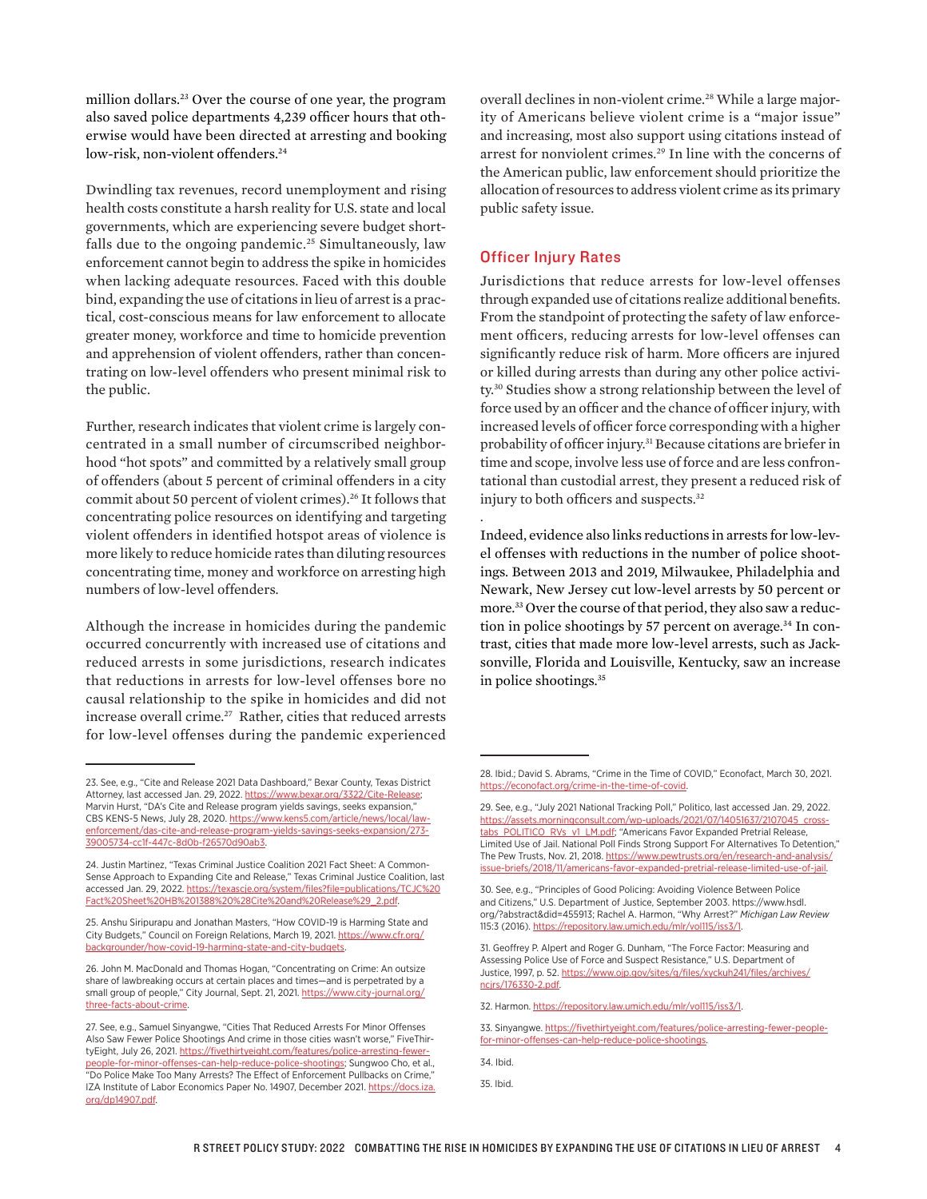million dollars.23 Over the course of one year, the program also saved police departments 4,239 officer hours that otherwise would have been directed at arresting and booking low-risk, non-violent offenders.<sup>24</sup>

Dwindling tax revenues, record unemployment and rising health costs constitute a harsh reality for U.S. state and local governments, which are experiencing severe budget shortfalls due to the ongoing pandemic.<sup>25</sup> Simultaneously, law enforcement cannot begin to address the spike in homicides when lacking adequate resources. Faced with this double bind, expanding the use of citations in lieu of arrest is a practical, cost-conscious means for law enforcement to allocate greater money, workforce and time to homicide prevention and apprehension of violent offenders, rather than concentrating on low-level offenders who present minimal risk to the public.

Further, research indicates that violent crime is largely concentrated in a small number of circumscribed neighborhood "hot spots" and committed by a relatively small group of offenders (about 5 percent of criminal offenders in a city commit about 50 percent of violent crimes).26 It follows that concentrating police resources on identifying and targeting violent offenders in identified hotspot areas of violence is more likely to reduce homicide rates than diluting resources concentrating time, money and workforce on arresting high numbers of low-level offenders.

Although the increase in homicides during the pandemic occurred concurrently with increased use of citations and reduced arrests in some jurisdictions, research indicates that reductions in arrests for low-level offenses bore no causal relationship to the spike in homicides and did not increase overall crime.<sup>27</sup> Rather, cities that reduced arrests for low-level offenses during the pandemic experienced

overall declines in non-violent crime.<sup>28</sup> While a large majority of Americans believe violent crime is a "major issue" and increasing, most also support using citations instead of arrest for nonviolent crimes.<sup>29</sup> In line with the concerns of the American public, law enforcement should prioritize the allocation of resources to address violent crime as its primary public safety issue.

# Officer Injury Rates

.

Jurisdictions that reduce arrests for low-level offenses through expanded use of citations realize additional benefits. From the standpoint of protecting the safety of law enforcement officers, reducing arrests for low-level offenses can significantly reduce risk of harm. More officers are injured or killed during arrests than during any other police activity.30 Studies show a strong relationship between the level of force used by an officer and the chance of officer injury, with increased levels of officer force corresponding with a higher probability of officer injury.31 Because citations are briefer in time and scope, involve less use of force and are less confrontational than custodial arrest, they present a reduced risk of injury to both officers and suspects.32

Indeed, evidence also links reductions in arrests for low-level offenses with reductions in the number of police shootings. Between 2013 and 2019, Milwaukee, Philadelphia and Newark, New Jersey cut low-level arrests by 50 percent or more.33 Over the course of that period, they also saw a reduction in police shootings by 57 percent on average.<sup>34</sup> In contrast, cities that made more low-level arrests, such as Jacksonville, Florida and Louisville, Kentucky, saw an increase in police shootings.35

<sup>23.</sup> See, e.g., "Cite and Release 2021 Data Dashboard," Bexar County, Texas District Attorney, last accessed Jan. 29, 2022. [https://www.bexar.org/3322/Cite-Release;](https://www.bexar.org/3322/Cite-Release) Marvin Hurst, "DA's Cite and Release program yields savings, seeks expansion," CBS KENS-5 News, July 28, 2020. [https://www.kens5.com/article/news/local/law](https://www.kens5.com/article/news/local/law-enforcement/das-cite-and-release-program-yields-savings-seeks-expansion/273-39005734-cc1f-447c-8d0b-f26570d90ab3)[enforcement/das-cite-and-release-program-yields-savings-seeks-expansion/273-](https://www.kens5.com/article/news/local/law-enforcement/das-cite-and-release-program-yields-savings-seeks-expansion/273-39005734-cc1f-447c-8d0b-f26570d90ab3) [39005734-cc1f-447c-8d0b-f26570d90ab3](https://www.kens5.com/article/news/local/law-enforcement/das-cite-and-release-program-yields-savings-seeks-expansion/273-39005734-cc1f-447c-8d0b-f26570d90ab3).

<sup>24.</sup> Justin Martinez, "Texas Criminal Justice Coalition 2021 Fact Sheet: A Common-Sense Approach to Expanding Cite and Release," Texas Criminal Justice Coalition, last accessed Jan. 29, 2022. [https://texascje.org/system/files?file=publications/TCJC%20](https://texascje.org/system/files?file=publications/TCJC%20Fact%20Sheet%20HB%201388%20%28Cite%20and%20Release%29_2.pdf) [Fact%20Sheet%20HB%201388%20%28Cite%20and%20Release%29\\_2.pdf.](https://texascje.org/system/files?file=publications/TCJC%20Fact%20Sheet%20HB%201388%20%28Cite%20and%20Release%29_2.pdf)

<sup>25.</sup> Anshu Siripurapu and Jonathan Masters, "How COVID-19 is Harming State and City Budgets," Council on Foreign Relations, March 19, 2021. [https://www.cfr.org/](https://www.cfr.org/backgrounder/how-covid-19-harming-state-and-city-budgets) [backgrounder/how-covid-19-harming-state-and-city-budgets.](https://www.cfr.org/backgrounder/how-covid-19-harming-state-and-city-budgets)

<sup>26.</sup> John M. MacDonald and Thomas Hogan, "Concentrating on Crime: An outsize share of lawbreaking occurs at certain places and times—and is perpetrated by a small group of people," City Journal, Sept. 21, 2021. [https://www.city-journal.org/](https://www.city-journal.org/three-facts-about-crime) [three-facts-about-crime.](https://www.city-journal.org/three-facts-about-crime)

<sup>27.</sup> See, e.g., Samuel Sinyangwe, "Cities That Reduced Arrests For Minor Offenses Also Saw Fewer Police Shootings And crime in those cities wasn't worse," FiveThirtyEight, July 26, 2021. [https://fivethirtyeight.com/features/police-arresting-fewer](https://fivethirtyeight.com/features/police-arresting-fewer-people-for-minor-offenses-can-help-reduce-police-shootings)[people-for-minor-offenses-can-help-reduce-police-shootings;](https://fivethirtyeight.com/features/police-arresting-fewer-people-for-minor-offenses-can-help-reduce-police-shootings) Sungwoo Cho, et al., "Do Police Make Too Many Arrests? The Effect of Enforcement Pullbacks on Crime," IZA Institute of Labor Economics Paper No. 14907, December 2021. [https://docs.iza.](https://docs.iza.org/dp14907.pdf) [org/dp14907.pdf.](https://docs.iza.org/dp14907.pdf)

<sup>28.</sup> Ibid.; David S. Abrams, "Crime in the Time of COVID," Econofact, March 30, 2021. <https://econofact.org/crime-in-the-time-of-covid>.

<sup>29.</sup> See, e.g., "July 2021 National Tracking Poll," Politico, last accessed Jan. 29, 2022. [https://assets.morningconsult.com/wp-uploads/2021/07/14051637/2107045\\_cross](https://assets.morningconsult.com/wp-uploads/2021/07/14051637/2107045_crosstabs_POLITICO_RVs_v1_LM.pdf)[tabs\\_POLITICO\\_RVs\\_v1\\_LM.pdf](https://assets.morningconsult.com/wp-uploads/2021/07/14051637/2107045_crosstabs_POLITICO_RVs_v1_LM.pdf); "Americans Favor Expanded Pretrial Release, Limited Use of Jail. National Poll Finds Strong Support For Alternatives To Detention," The Pew Trusts, Nov. 21, 2018. https://www.pewtrusts.org/en/research-and-analysis, [issue-briefs/2018/11/americans-favor-expanded-pretrial-release-limited-use-of-jail.](https://www.pewtrusts.org/en/research-and-analysis/issue-briefs/2018/11/americans-favor-expanded-pretrial-release-limited-use-of-jail)

<sup>30.</sup> See, e.g., "Principles of Good Policing: Avoiding Violence Between Police and Citizens," U.S. Department of Justice, September 2003. [https://www.hsdl.](https://www.hsdl.org/?abstract&did=455913) [org/?abstract&did=455913](https://www.hsdl.org/?abstract&did=455913); Rachel A. Harmon, "Why Arrest?" *Michigan Law Review* 115:3 (2016).<https://repository.law.umich.edu/mlr/vol115/iss3/1>.

<sup>31.</sup> Geoffrey P. Alpert and Roger G. Dunham, "The Force Factor: Measuring and Assessing Police Use of Force and Suspect Resistance," U.S. Department of Justice, 1997, p. 52. [https://www.ojp.gov/sites/g/files/xyckuh241/files/archives/](https://www.ojp.gov/sites/g/files/xyckuh241/files/archives/ncjrs/176330-2.pdf) [ncjrs/176330-2.pdf](https://www.ojp.gov/sites/g/files/xyckuh241/files/archives/ncjrs/176330-2.pdf).

<sup>32.</sup> Harmon. [https://repository.law.umich.edu/mlr/vol115/iss3/1.](https://repository.law.umich.edu/mlr/vol115/iss3/1)

<sup>33.</sup> Sinyangwe. [https://fivethirtyeight.com/features/police-arresting-fewer-people](https://fivethirtyeight.com/features/police-arresting-fewer-people-for-minor-offenses-can-help-reduce-police-shootings)[for-minor-offenses-can-help-reduce-police-shootings](https://fivethirtyeight.com/features/police-arresting-fewer-people-for-minor-offenses-can-help-reduce-police-shootings).

<sup>34.</sup> Ibid.

<sup>35.</sup> Ibid.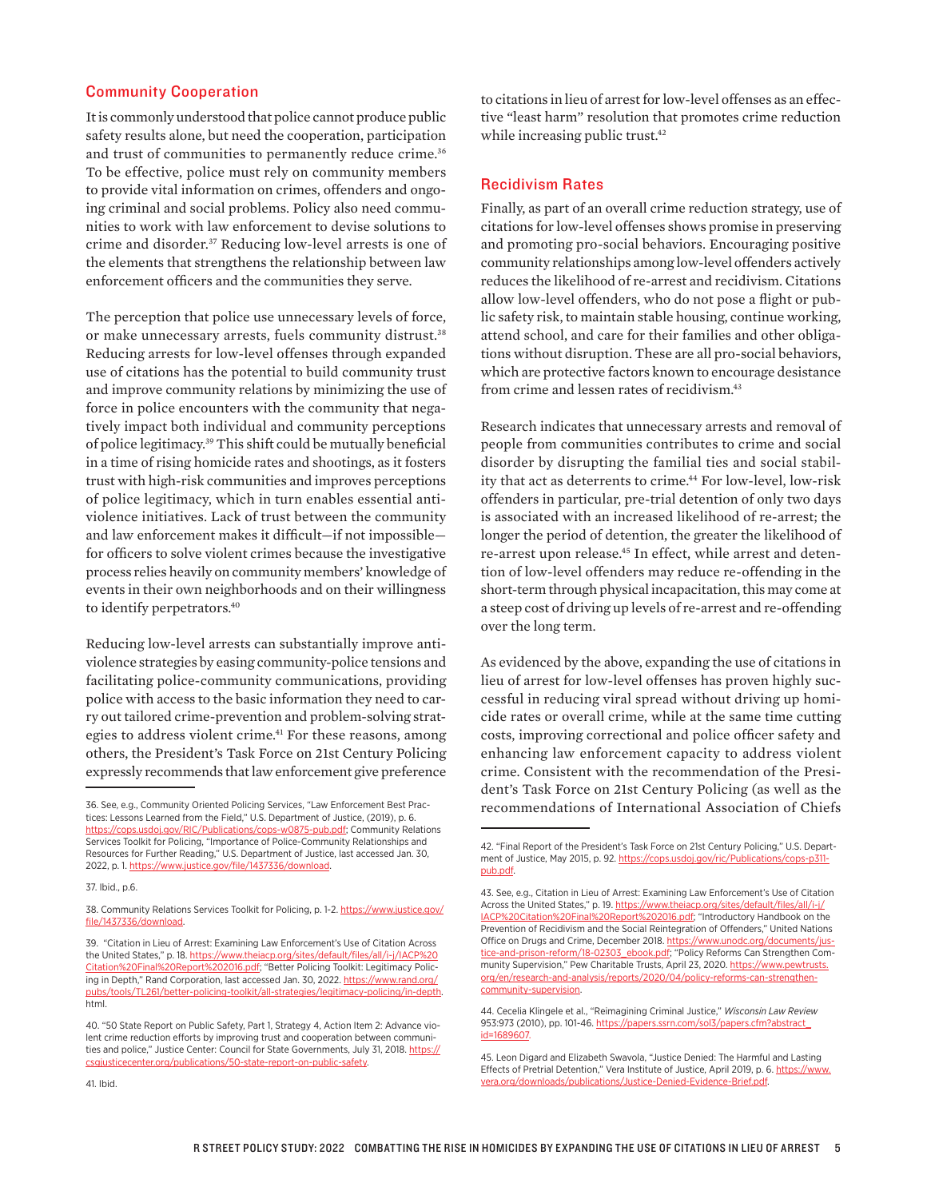#### Community Cooperation

It is commonly understood that police cannot produce public safety results alone, but need the cooperation, participation and trust of communities to permanently reduce crime.<sup>36</sup> To be effective, police must rely on community members to provide vital information on crimes, offenders and ongoing criminal and social problems. Policy also need communities to work with law enforcement to devise solutions to crime and disorder.37 Reducing low-level arrests is one of the elements that strengthens the relationship between law enforcement officers and the communities they serve.

The perception that police use unnecessary levels of force, or make unnecessary arrests, fuels community distrust.<sup>38</sup> Reducing arrests for low-level offenses through expanded use of citations has the potential to build community trust and improve community relations by minimizing the use of force in police encounters with the community that negatively impact both individual and community perceptions of police legitimacy.39 This shift could be mutually beneficial in a time of rising homicide rates and shootings, as it fosters trust with high-risk communities and improves perceptions of police legitimacy, which in turn enables essential antiviolence initiatives. Lack of trust between the community and law enforcement makes it difficult—if not impossible for officers to solve violent crimes because the investigative process relies heavily on community members' knowledge of events in their own neighborhoods and on their willingness to identify perpetrators.<sup>40</sup>

Reducing low-level arrests can substantially improve antiviolence strategies by easing community-police tensions and facilitating police-community communications, providing police with access to the basic information they need to carry out tailored crime-prevention and problem-solving strategies to address violent crime.<sup>41</sup> For these reasons, among others, the President's Task Force on 21st Century Policing expressly recommends that law enforcement give preference

37. Ibid., p.6.

to citations in lieu of arrest for low-level offenses as an effective "least harm" resolution that promotes crime reduction while increasing public trust.<sup>42</sup>

#### Recidivism Rates

Finally, as part of an overall crime reduction strategy, use of citations for low-level offenses shows promise in preserving and promoting pro-social behaviors. Encouraging positive community relationships among low-level offenders actively reduces the likelihood of re-arrest and recidivism. Citations allow low-level offenders, who do not pose a flight or public safety risk, to maintain stable housing, continue working, attend school, and care for their families and other obligations without disruption. These are all pro-social behaviors, which are protective factors known to encourage desistance from crime and lessen rates of recidivism.<sup>43</sup>

Research indicates that unnecessary arrests and removal of people from communities contributes to crime and social disorder by disrupting the familial ties and social stability that act as deterrents to crime.<sup>44</sup> For low-level, low-risk offenders in particular, pre-trial detention of only two days is associated with an increased likelihood of re-arrest; the longer the period of detention, the greater the likelihood of re-arrest upon release.<sup>45</sup> In effect, while arrest and detention of low-level offenders may reduce re-offending in the short-term through physical incapacitation, this may come at a steep cost of driving up levels of re-arrest and re-offending over the long term.

As evidenced by the above, expanding the use of citations in lieu of arrest for low-level offenses has proven highly successful in reducing viral spread without driving up homicide rates or overall crime, while at the same time cutting costs, improving correctional and police officer safety and enhancing law enforcement capacity to address violent crime. Consistent with the recommendation of the President's Task Force on 21st Century Policing (as well as the recommendations of International Association of Chiefs

<sup>36.</sup> See, e.g., Community Oriented Policing Services, "Law Enforcement Best Practices: Lessons Learned from the Field," U.S. Department of Justice, (2019), p. 6. [https://cops.usdoj.gov/RIC/Publications/cops-w0875-pub.pdf;](https://cops.usdoj.gov/RIC/Publications/cops-w0875-pub.pdf) Community Relations Services Toolkit for Policing, "Importance of Police-Community Relationships and Resources for Further Reading," U.S. Department of Justice, last accessed Jan. 30, 2022, p. 1. [https://www.justice.gov/file/1437336/download.](https://www.justice.gov/file/1437336/download)

<sup>38.</sup> Community Relations Services Toolkit for Policing, p. 1-2. [https://www.justice.gov/](https://www.justice.gov/file/1437336/download) [file/1437336/download.](https://www.justice.gov/file/1437336/download)

<sup>39. &</sup>quot;Citation in Lieu of Arrest: Examining Law Enforcement's Use of Citation Across the United States," p. 18. [https://www.theiacp.org/sites/default/files/all/i-j/IACP%20](https://www.theiacp.org/sites/default/files/all/i-j/IACP%20Citation%20Final%20Report%202016.pdf) [Citation%20Final%20Report%202016.pdf;](https://www.theiacp.org/sites/default/files/all/i-j/IACP%20Citation%20Final%20Report%202016.pdf) "Better Policing Toolkit: Legitimacy Policing in Depth," Rand Corporation, last accessed Jan. 30, 2022. [https://www.rand.org/](https://www.rand.org/pubs/tools/TL261/better-policing-toolkit/all-strategies/legitimacy-policing/in-depth.html) [pubs/tools/TL261/better-policing-toolkit/all-strategies/legitimacy-policing/in-depth.](https://www.rand.org/pubs/tools/TL261/better-policing-toolkit/all-strategies/legitimacy-policing/in-depth.html) [html](https://www.rand.org/pubs/tools/TL261/better-policing-toolkit/all-strategies/legitimacy-policing/in-depth.html).

<sup>40. &</sup>quot;50 State Report on Public Safety, Part 1, Strategy 4, Action Item 2: Advance violent crime reduction efforts by improving trust and cooperation between communities and police," Justice Center: Council for State Governments, July 31, 2018. [https://](https://csgjusticecenter.org/publications/50-state-report-on-public-safety) [csgjusticecenter.org/publications/50-state-report-on-public-safety](https://csgjusticecenter.org/publications/50-state-report-on-public-safety).

<sup>42. &</sup>quot;Final Report of the President's Task Force on 21st Century Policing," U.S. Department of Justice, May 2015, p. 92. [https://cops.usdoj.gov/ric/Publications/cops-p311](https://cops.usdoj.gov/ric/Publications/cops-p311-pub.pdf) [pub.pdf](https://cops.usdoj.gov/ric/Publications/cops-p311-pub.pdf).

<sup>43.</sup> See, e.g., Citation in Lieu of Arrest: Examining Law Enforcement's Use of Citation Across the United States," p. 19. [https://www.theiacp.org/sites/default/files/all/i-j/](https://www.theiacp.org/sites/default/files/all/i-j/IACP%20Citation%20Final%20Report%202016.pdf) [IACP%20Citation%20Final%20Report%202016.pdf](https://www.theiacp.org/sites/default/files/all/i-j/IACP%20Citation%20Final%20Report%202016.pdf); "Introductory Handbook on the Prevention of Recidivism and the Social Reintegration of Offenders," United Nations Office on Drugs and Crime, December 2018. [https://www.unodc.org/documents/jus](https://www.unodc.org/documents/justice-and-prison-reform/18-02303_ebook.pdf)[tice-and-prison-reform/18-02303\\_ebook.pdf;](https://www.unodc.org/documents/justice-and-prison-reform/18-02303_ebook.pdf) "Policy Reforms Can Strengthen Community Supervision," Pew Charitable Trusts, April 23, 2020. [https://www.pewtrusts.](https://www.pewtrusts.org/en/research-and-analysis/reports/2020/04/policy-reforms-can-strengthen-community-supervision) [org/en/research-and-analysis/reports/2020/04/policy-reforms-can-strengthen](https://www.pewtrusts.org/en/research-and-analysis/reports/2020/04/policy-reforms-can-strengthen-community-supervision)[community-supervision](https://www.pewtrusts.org/en/research-and-analysis/reports/2020/04/policy-reforms-can-strengthen-community-supervision).

<sup>44.</sup> Cecelia Klingele et al., "Reimagining Criminal Justice," *Wisconsin Law Review* 953:973 (2010), pp. 101-46. [https://papers.ssrn.com/sol3/papers.cfm?abstract\\_](https://papers.ssrn.com/sol3/papers.cfm?abstract_id=1689607) [id=1689607](https://papers.ssrn.com/sol3/papers.cfm?abstract_id=1689607)

<sup>45.</sup> Leon Digard and Elizabeth Swavola, "Justice Denied: The Harmful and Lasting Effects of Pretrial Detention," Vera Institute of Justice, April 2019, p. 6. [https://www.](https://www.vera.org/downloads/publications/Justice-Denied-Evidence-Brief.pdf) [vera.org/downloads/publications/Justice-Denied-Evidence-Brief.pdf](https://www.vera.org/downloads/publications/Justice-Denied-Evidence-Brief.pdf).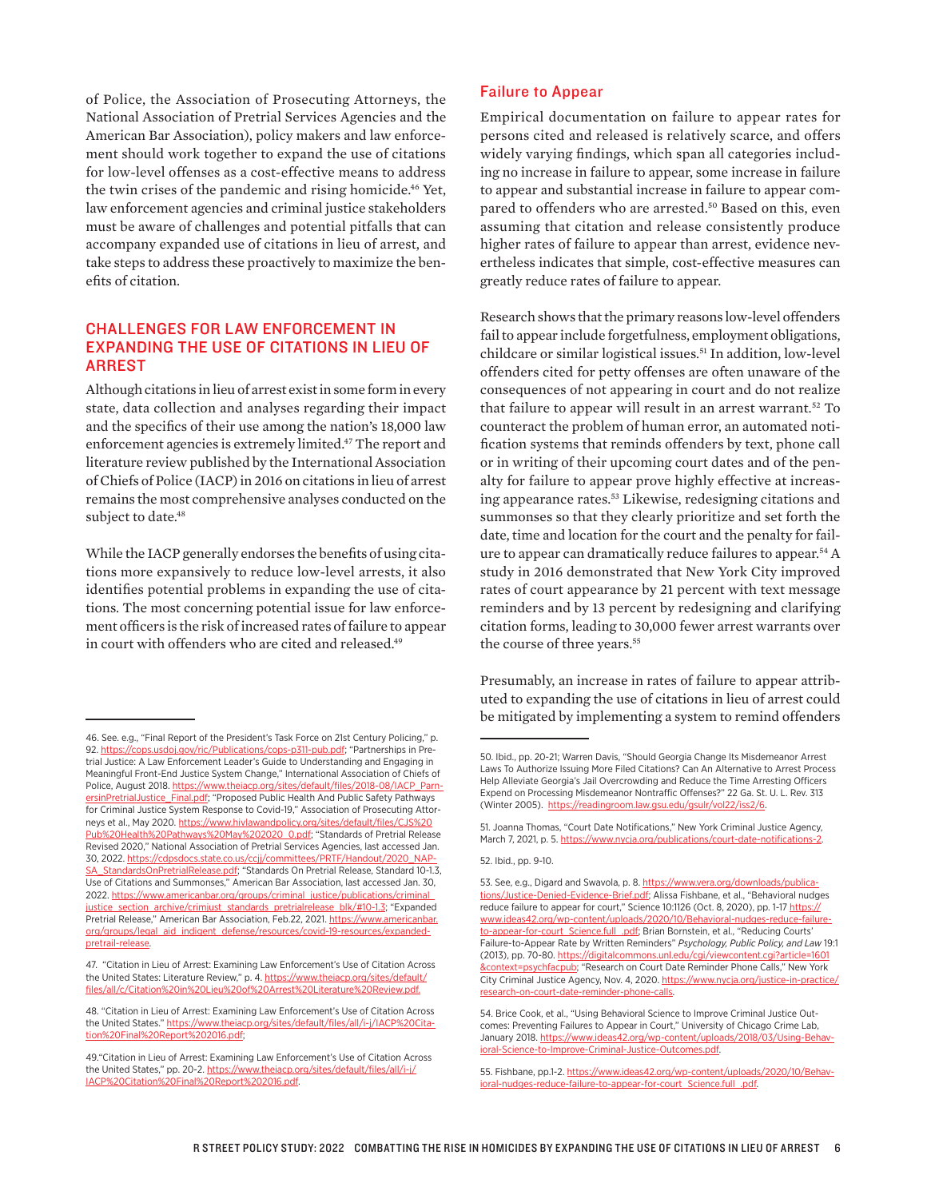of Police, the Association of Prosecuting Attorneys, the National Association of Pretrial Services Agencies and the American Bar Association), policy makers and law enforcement should work together to expand the use of citations for low-level offenses as a cost-effective means to address the twin crises of the pandemic and rising homicide.<sup>46</sup> Yet, law enforcement agencies and criminal justice stakeholders must be aware of challenges and potential pitfalls that can accompany expanded use of citations in lieu of arrest, and take steps to address these proactively to maximize the benefits of citation.

# CHALLENGES FOR LAW ENFORCEMENT IN EXPANDING THE USE OF CITATIONS IN LIEU OF ARREST

Although citations in lieu of arrest exist in some form in every state, data collection and analyses regarding their impact and the specifics of their use among the nation's 18,000 law enforcement agencies is extremely limited.47 The report and literature review published by the International Association of Chiefs of Police (IACP) in 2016 on citations in lieu of arrest remains the most comprehensive analyses conducted on the subject to date.<sup>48</sup>

While the IACP generally endorses the benefits of using citations more expansively to reduce low-level arrests, it also identifies potential problems in expanding the use of citations. The most concerning potential issue for law enforcement officers is the risk of increased rates of failure to appear in court with offenders who are cited and released.<sup>49</sup>

#### Failure to Appear

Empirical documentation on failure to appear rates for persons cited and released is relatively scarce, and offers widely varying findings, which span all categories including no increase in failure to appear, some increase in failure to appear and substantial increase in failure to appear compared to offenders who are arrested.<sup>50</sup> Based on this, even assuming that citation and release consistently produce higher rates of failure to appear than arrest, evidence nevertheless indicates that simple, cost-effective measures can greatly reduce rates of failure to appear.

Research shows that the primary reasons low-level offenders fail to appear include forgetfulness, employment obligations, childcare or similar logistical issues.<sup>51</sup> In addition, low-level offenders cited for petty offenses are often unaware of the consequences of not appearing in court and do not realize that failure to appear will result in an arrest warrant.<sup>52</sup> To counteract the problem of human error, an automated notification systems that reminds offenders by text, phone call or in writing of their upcoming court dates and of the penalty for failure to appear prove highly effective at increasing appearance rates.<sup>53</sup> Likewise, redesigning citations and summonses so that they clearly prioritize and set forth the date, time and location for the court and the penalty for failure to appear can dramatically reduce failures to appear.54 A study in 2016 demonstrated that New York City improved rates of court appearance by 21 percent with text message reminders and by 13 percent by redesigning and clarifying citation forms, leading to 30,000 fewer arrest warrants over the course of three years.<sup>55</sup>

Presumably, an increase in rates of failure to appear attributed to expanding the use of citations in lieu of arrest could be mitigated by implementing a system to remind offenders

52. Ibid., pp. 9-10.

<sup>46.</sup> See. e.g., "Final Report of the President's Task Force on 21st Century Policing," p. 92. [https://cops.usdoj.gov/ric/Publications/cops-p311-pub.pdf;](https://cops.usdoj.gov/ric/Publications/cops-p311-pub.pdf) "Partnerships in Pretrial Justice: A Law Enforcement Leader's Guide to Understanding and Engaging in Meaningful Front-End Justice System Change," International Association of Chiefs of Police, August 2018. [https://www.theiacp.org/sites/default/files/2018-08/IACP\\_Parn](https://www.theiacp.org/sites/default/files/2018-08/IACP_ParnersinPretrialJustice_Final.pdf)[ersinPretrialJustice\\_Final.pdf](https://www.theiacp.org/sites/default/files/2018-08/IACP_ParnersinPretrialJustice_Final.pdf); "Proposed Public Health And Public Safety Pathways for Criminal Justice System Response to Covid-19," Association of Prosecuting Attorneys et al., May 2020. https://www.hivlawandpolicy.org/sites/default/files/C [Pub%20Health%20Pathways%20May%202020\\_0.pdf](https://www.hivlawandpolicy.org/sites/default/files/CJS%20Pub%20Health%20Pathways%20May%202020_0.pdf); "Standards of Pretrial Release Revised 2020," National Association of Pretrial Services Agencies, last accessed Jan. 30, 2022. [https://cdpsdocs.state.co.us/ccjj/committees/PRTF/Handout/2020\\_NAP-](https://cdpsdocs.state.co.us/ccjj/committees/PRTF/Handout/2020_NAPSA_StandardsOnPretrialRelease.pdf)[SA\\_StandardsOnPretrialRelease.pdf;](https://cdpsdocs.state.co.us/ccjj/committees/PRTF/Handout/2020_NAPSA_StandardsOnPretrialRelease.pdf) "Standards On Pretrial Release, Standard 10-1.3, Use of Citations and Summonses," American Bar Association, last accessed Jan. 30, 2022. https://www.americanbar.org/groups/criminal\_justice/publications/crimi justice\_section\_archive/crimjust\_standards\_pretrialrelease\_blk/#10-1.3; "Expanded Pretrial Release," American Bar Association, Feb.22, 2021. [https://www.americanbar.](https://www.americanbar.org/groups/legal_aid_indigent_defense/resources/covid-19-resources/expanded-pretrail-release) [org/groups/legal\\_aid\\_indigent\\_defense/resources/covid-19-resources/expanded](https://www.americanbar.org/groups/legal_aid_indigent_defense/resources/covid-19-resources/expanded-pretrail-release)[pretrail-release.](https://www.americanbar.org/groups/legal_aid_indigent_defense/resources/covid-19-resources/expanded-pretrail-release)

<sup>47. &</sup>quot;Citation in Lieu of Arrest: Examining Law Enforcement's Use of Citation Across the United States: Literature Review," p. 4. [https://www.theiacp.org/sites/default/](https://www.theiacp.org/sites/default/files/all/c/Citation%20in%20Lieu%20of%20Arrest%20Literature%20Review.pdf) [files/all/c/Citation%20in%20Lieu%20of%20Arrest%20Literature%20Review.pdf.](https://www.theiacp.org/sites/default/files/all/c/Citation%20in%20Lieu%20of%20Arrest%20Literature%20Review.pdf)

<sup>48. &</sup>quot;Citation in Lieu of Arrest: Examining Law Enforcement's Use of Citation Across the United States." [https://www.theiacp.org/sites/default/files/all/i-j/IACP%20Cita](https://www.theiacp.org/sites/default/files/all/i-j/IACP%20Citation%20Final%20Report%202016.pdf)[tion%20Final%20Report%202016.pdf;](https://www.theiacp.org/sites/default/files/all/i-j/IACP%20Citation%20Final%20Report%202016.pdf)

<sup>49.&</sup>quot;Citation in Lieu of Arrest: Examining Law Enforcement's Use of Citation Across the United States," pp. 20-2. [https://www.theiacp.org/sites/default/files/all/i-j/](https://www.theiacp.org/sites/default/files/all/i-j/IACP%20Citation%20Final%20Report%202016.pdf) [IACP%20Citation%20Final%20Report%202016.pdf.](https://www.theiacp.org/sites/default/files/all/i-j/IACP%20Citation%20Final%20Report%202016.pdf)

<sup>50.</sup> Ibid., pp. 20-21; Warren Davis, "Should Georgia Change Its Misdemeanor Arrest Laws To Authorize Issuing More Filed Citations? Can An Alternative to Arrest Process Help Alleviate Georgia's Jail Overcrowding and Reduce the Time Arresting Officers Expend on Processing Misdemeanor Nontraffic Offenses?" 22 Ga. St. U. L. Rev. 313 (Winter 2005). <https://readingroom.law.gsu.edu/gsulr/vol22/iss2/6>.

<sup>51.</sup> Joanna Thomas, "Court Date Notifications," New York Criminal Justice Agency, March 7, 2021, p. 5. https://www.nycja.org/publications/court-date-notifications-2

<sup>53.</sup> See, e.g., Digard and Swavola, p. 8. [https://www.vera.org/downloads/publica](https://www.vera.org/downloads/publications/Justice-Denied-Evidence-Brief.pdf)[tions/Justice-Denied-Evidence-Brief.pdf](https://www.vera.org/downloads/publications/Justice-Denied-Evidence-Brief.pdf); Alissa Fishbane, et al., "Behavioral nudges reduce failure to appear for court," Science 10:1126 (Oct. 8, 2020), pp. 1-17 [https://](https://www.ideas42.org/wp-content/uploads/2020/10/Behavioral-nudges-reduce-failure-to-appear-for-court_Science.full_.pdf) [www.ideas42.org/wp-content/uploads/2020/10/Behavioral-nudges-reduce-failure](https://www.ideas42.org/wp-content/uploads/2020/10/Behavioral-nudges-reduce-failure-to-appear-for-court_Science.full_.pdf)[to-appear-for-court\\_Science.full\\_.pdf;](https://www.ideas42.org/wp-content/uploads/2020/10/Behavioral-nudges-reduce-failure-to-appear-for-court_Science.full_.pdf) Brian Bornstein, et al., "Reducing Courts' Failure-to-Appear Rate by Written Reminders" *Psychology, Public Policy, and Law* 19:1 (2013), pp. 70-80. [https://digitalcommons.unl.edu/cgi/viewcontent.cgi?article=1601](https://digitalcommons.unl.edu/cgi/viewcontent.cgi?article=1601&context=psychfacpub) **[&context=psychfacpub](https://digitalcommons.unl.edu/cgi/viewcontent.cgi?article=1601&context=psychfacpub)**; "Research on Court Date Reminder Phone Calls," New York City Criminal Justice Agency, Nov. 4, 2020. [https://www.nycja.org/justice-in-practice/](https://www.nycja.org/justice-in-practice/research-on-court-date-reminder-phone-calls) [research-on-court-date-reminder-phone-calls](https://www.nycja.org/justice-in-practice/research-on-court-date-reminder-phone-calls).

<sup>54.</sup> Brice Cook, et al., "Using Behavioral Science to Improve Criminal Justice Outcomes: Preventing Failures to Appear in Court," University of Chicago Crime Lab, January 2018. [https://www.ideas42.org/wp-content/uploads/2018/03/Using-Behav](https://www.ideas42.org/wp-content/uploads/2018/03/Using-Behavioral-Science-to-Improve-Criminal-Justice-Outcomes.pdf)icience-to-Improve-Criminal-Justice-Outcomes.pdf.

<sup>55.</sup> Fishbane, pp.1-2. [https://www.ideas42.org/wp-content/uploads/2020/10/Behav](https://www.ideas42.org/wp-content/uploads/2020/10/Behavioral-nudges-reduce-failure-to-appear-for-court_Science.full_.pdf)[ioral-nudges-reduce-failure-to-appear-for-court\\_Science.full\\_.pdf.](https://www.ideas42.org/wp-content/uploads/2020/10/Behavioral-nudges-reduce-failure-to-appear-for-court_Science.full_.pdf)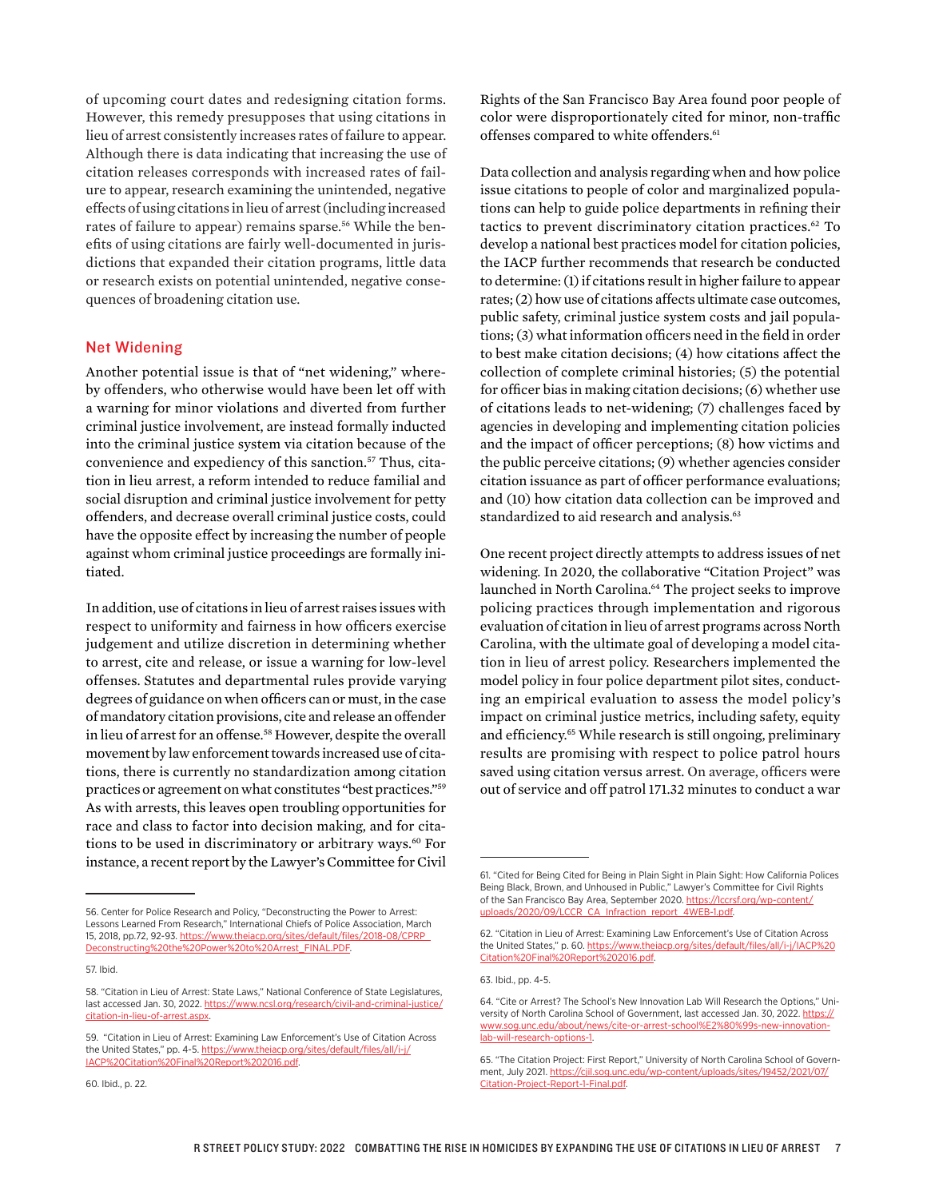of upcoming court dates and redesigning citation forms. However, this remedy presupposes that using citations in lieu of arrest consistently increases rates of failure to appear. Although there is data indicating that increasing the use of citation releases corresponds with increased rates of failure to appear, research examining the unintended, negative effects of using citations in lieu of arrest (including increased rates of failure to appear) remains sparse.<sup>56</sup> While the benefits of using citations are fairly well-documented in jurisdictions that expanded their citation programs, little data or research exists on potential unintended, negative consequences of broadening citation use.

#### Net Widening

Another potential issue is that of "net widening," whereby offenders, who otherwise would have been let off with a warning for minor violations and diverted from further criminal justice involvement, are instead formally inducted into the criminal justice system via citation because of the convenience and expediency of this sanction.<sup>57</sup> Thus, citation in lieu arrest, a reform intended to reduce familial and social disruption and criminal justice involvement for petty offenders, and decrease overall criminal justice costs, could have the opposite effect by increasing the number of people against whom criminal justice proceedings are formally initiated.

In addition, use of citations in lieu of arrest raises issues with respect to uniformity and fairness in how officers exercise judgement and utilize discretion in determining whether to arrest, cite and release, or issue a warning for low-level offenses. Statutes and departmental rules provide varying degrees of guidance on when officers can or must, in the case of mandatory citation provisions, cite and release an offender in lieu of arrest for an offense.<sup>58</sup> However, despite the overall movement by law enforcement towards increased use of citations, there is currently no standardization among citation practices or agreement on what constitutes "best practices."59 As with arrests, this leaves open troubling opportunities for race and class to factor into decision making, and for citations to be used in discriminatory or arbitrary ways.<sup>60</sup> For instance, a recent report by the Lawyer's Committee for Civil

60. Ibid., p. 22.

Rights of the San Francisco Bay Area found poor people of color were disproportionately cited for minor, non-traffic offenses compared to white offenders.<sup>61</sup>

Data collection and analysis regarding when and how police issue citations to people of color and marginalized populations can help to guide police departments in refining their tactics to prevent discriminatory citation practices.<sup>62</sup> To develop a national best practices model for citation policies, the IACP further recommends that research be conducted to determine: (1) if citations result in higher failure to appear rates; (2) how use of citations affects ultimate case outcomes, public safety, criminal justice system costs and jail populations; (3) what information officers need in the field in order to best make citation decisions; (4) how citations affect the collection of complete criminal histories; (5) the potential for officer bias in making citation decisions; (6) whether use of citations leads to net-widening; (7) challenges faced by agencies in developing and implementing citation policies and the impact of officer perceptions; (8) how victims and the public perceive citations; (9) whether agencies consider citation issuance as part of officer performance evaluations; and (10) how citation data collection can be improved and standardized to aid research and analysis.<sup>63</sup>

One recent project directly attempts to address issues of net widening. In 2020, the collaborative "Citation Project" was launched in North Carolina.<sup>64</sup> The project seeks to improve policing practices through implementation and rigorous evaluation of citation in lieu of arrest programs across North Carolina, with the ultimate goal of developing a model citation in lieu of arrest policy. Researchers implemented the model policy in four police department pilot sites, conducting an empirical evaluation to assess the model policy's impact on criminal justice metrics, including safety, equity and efficiency.<sup>65</sup> While research is still ongoing, preliminary results are promising with respect to police patrol hours saved using citation versus arrest. On average, officers were out of service and off patrol 171.32 minutes to conduct a war

<sup>56.</sup> Center for Police Research and Policy, "Deconstructing the Power to Arrest: Lessons Learned From Research," International Chiefs of Police Association, March 15, 2018, pp.72, 92-93. [https://www.theiacp.org/sites/default/files/2018-08/CPRP\\_](https://www.theiacp.org/sites/default/files/2018-08/CPRP_Deconstructing%20the%20Power%20to%20Arrest_FINAL.PDF) [Deconstructing%20the%20Power%20to%20Arrest\\_FINAL.PDF](https://www.theiacp.org/sites/default/files/2018-08/CPRP_Deconstructing%20the%20Power%20to%20Arrest_FINAL.PDF).

<sup>57.</sup> Ibid.

<sup>58. &</sup>quot;Citation in Lieu of Arrest: State Laws," National Conference of State Legislatures, last accessed Jan. 30, 2022. [https://www.ncsl.org/research/civil-and-criminal-justice/](https://www.ncsl.org/research/civil-and-criminal-justice/citation-in-lieu-of-arrest.aspx) [citation-in-lieu-of-arrest.aspx](https://www.ncsl.org/research/civil-and-criminal-justice/citation-in-lieu-of-arrest.aspx).

<sup>59. &</sup>quot;Citation in Lieu of Arrest: Examining Law Enforcement's Use of Citation Across the United States," pp. 4-5. [https://www.theiacp.org/sites/default/files/all/i-j/](https://www.theiacp.org/sites/default/files/all/i-j/IACP%20Citation%20Final%20Report%202016.pdf) [IACP%20Citation%20Final%20Report%202016.pdf.](https://www.theiacp.org/sites/default/files/all/i-j/IACP%20Citation%20Final%20Report%202016.pdf)

<sup>61. &</sup>quot;Cited for Being Cited for Being in Plain Sight in Plain Sight: How California Polices Being Black, Brown, and Unhoused in Public," Lawyer's Committee for Civil Rights of the San Francisco Bay Area, September 2020. [https://lccrsf.org/wp-content/](https://lccrsf.org/wp-content/uploads/2020/09/LCCR_CA_Infraction_report_4WEB-1.pdf) [uploads/2020/09/LCCR\\_CA\\_Infraction\\_report\\_4WEB-1.pdf](https://lccrsf.org/wp-content/uploads/2020/09/LCCR_CA_Infraction_report_4WEB-1.pdf).

<sup>62. &</sup>quot;Citation in Lieu of Arrest: Examining Law Enforcement's Use of Citation Across the United States," p. 60. [https://www.theiacp.org/sites/default/files/all/i-j/IACP%20](https://www.theiacp.org/sites/default/files/all/i-j/IACP%20Citation%20Final%20Report%202016.pdf) [Citation%20Final%20Report%202016.pdf.](https://www.theiacp.org/sites/default/files/all/i-j/IACP%20Citation%20Final%20Report%202016.pdf)

<sup>63.</sup> Ibid., pp. 4-5.

<sup>64. &</sup>quot;Cite or Arrest? The School's New Innovation Lab Will Research the Options," University of North Carolina School of Government, last accessed Jan. 30, 2022. [https://](https://www.sog.unc.edu/about/news/cite-or-arrest-school%E2%80%99s-new-innovation-lab-will-research-options-1) [www.sog.unc.edu/about/news/cite-or-arrest-school%E2%80%99s-new-innovation](https://www.sog.unc.edu/about/news/cite-or-arrest-school%E2%80%99s-new-innovation-lab-will-research-options-1)[lab-will-research-options-1](https://www.sog.unc.edu/about/news/cite-or-arrest-school%E2%80%99s-new-innovation-lab-will-research-options-1).

<sup>65. &</sup>quot;The Citation Project: First Report," University of North Carolina School of Government, July 2021. [https://cjil.sog.unc.edu/wp-content/uploads/sites/19452/2021/07/](https://cjil.sog.unc.edu/wp-content/uploads/sites/19452/2021/07/Citation-Project-Report-1-Final.pdf) [Citation-Project-Report-1-Final.pdf](https://cjil.sog.unc.edu/wp-content/uploads/sites/19452/2021/07/Citation-Project-Report-1-Final.pdf).